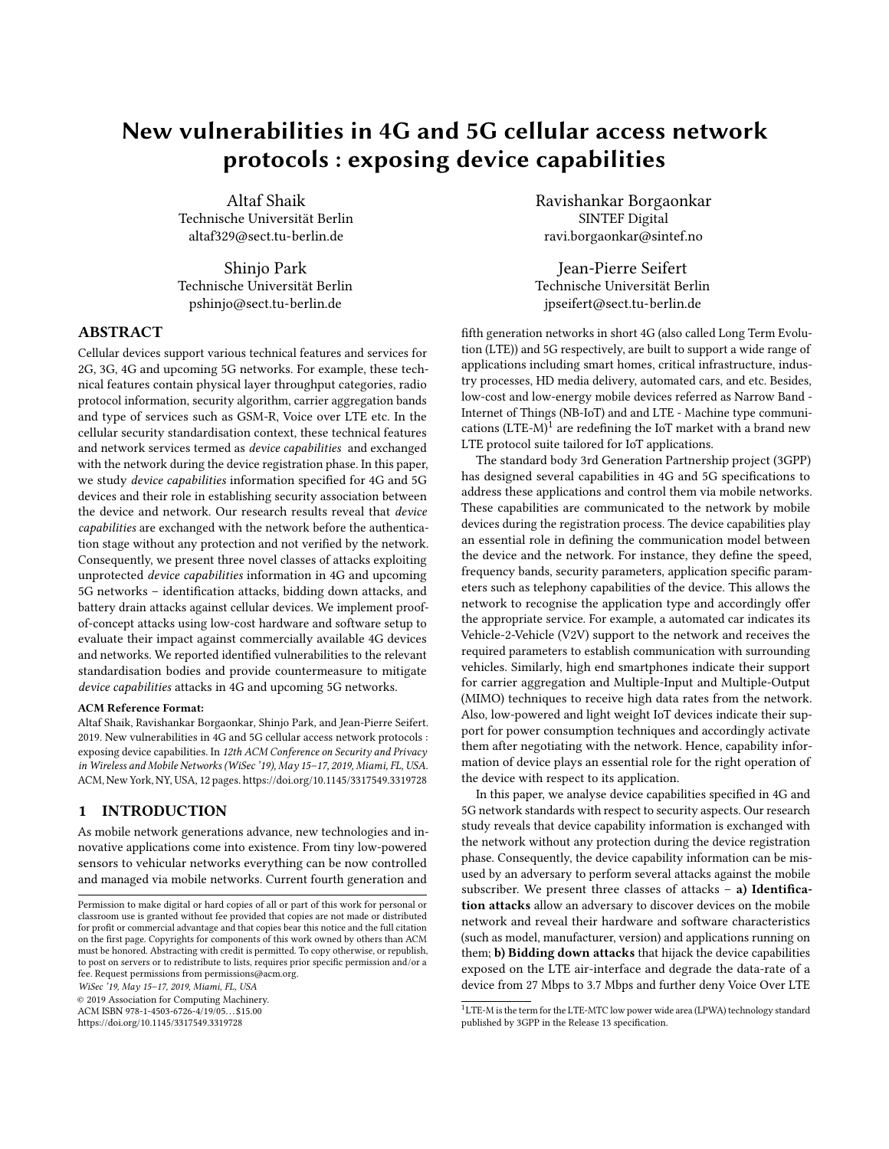# New vulnerabilities in 4G and 5G cellular access network protocols : exposing device capabilities

Altaf Shaik Technische Universität Berlin altaf329@sect.tu-berlin.de

Shinjo Park Technische Universität Berlin pshinjo@sect.tu-berlin.de

## ABSTRACT

Cellular devices support various technical features and services for 2G, 3G, 4G and upcoming 5G networks. For example, these technical features contain physical layer throughput categories, radio protocol information, security algorithm, carrier aggregation bands and type of services such as GSM-R, Voice over LTE etc. In the cellular security standardisation context, these technical features and network services termed as device capabilities and exchanged with the network during the device registration phase. In this paper, we study device capabilities information specified for 4G and 5G devices and their role in establishing security association between the device and network. Our research results reveal that device capabilities are exchanged with the network before the authentication stage without any protection and not verified by the network. Consequently, we present three novel classes of attacks exploiting unprotected device capabilities information in 4G and upcoming 5G networks – identification attacks, bidding down attacks, and battery drain attacks against cellular devices. We implement proofof-concept attacks using low-cost hardware and software setup to evaluate their impact against commercially available 4G devices and networks. We reported identified vulnerabilities to the relevant standardisation bodies and provide countermeasure to mitigate device capabilities attacks in 4G and upcoming 5G networks.

#### ACM Reference Format:

Altaf Shaik, Ravishankar Borgaonkar, Shinjo Park, and Jean-Pierre Seifert. 2019. New vulnerabilities in 4G and 5G cellular access network protocols : exposing device capabilities. In 12th ACM Conference on Security and Privacy in Wireless and Mobile Networks (WiSec '19), May 15–17, 2019, Miami, FL, USA. ACM, New York, NY, USA, [12](#page-11-0) pages.<https://doi.org/10.1145/3317549.3319728>

## 1 INTRODUCTION

As mobile network generations advance, new technologies and innovative applications come into existence. From tiny low-powered sensors to vehicular networks everything can be now controlled and managed via mobile networks. Current fourth generation and

WiSec '19, May 15–17, 2019, Miami, FL, USA

© 2019 Association for Computing Machinery.

ACM ISBN 978-1-4503-6726-4/19/05. . . \$15.00 <https://doi.org/10.1145/3317549.3319728>

Ravishankar Borgaonkar SINTEF Digital ravi.borgaonkar@sintef.no

Jean-Pierre Seifert Technische Universität Berlin jpseifert@sect.tu-berlin.de

fifth generation networks in short 4G (also called Long Term Evolution (LTE)) and 5G respectively, are built to support a wide range of applications including smart homes, critical infrastructure, industry processes, HD media delivery, automated cars, and etc. Besides, low-cost and low-energy mobile devices referred as Narrow Band - Internet of Things (NB-IoT) and and LTE - Machine type communi-cations (LTE-M)<sup>[1](#page-0-0)</sup> are redefining the IoT market with a brand new LTE protocol suite tailored for IoT applications.

The standard body 3rd Generation Partnership project (3GPP) has designed several capabilities in 4G and 5G specifications to address these applications and control them via mobile networks. These capabilities are communicated to the network by mobile devices during the registration process. The device capabilities play an essential role in defining the communication model between the device and the network. For instance, they define the speed, frequency bands, security parameters, application specific parameters such as telephony capabilities of the device. This allows the network to recognise the application type and accordingly offer the appropriate service. For example, a automated car indicates its Vehicle-2-Vehicle (V2V) support to the network and receives the required parameters to establish communication with surrounding vehicles. Similarly, high end smartphones indicate their support for carrier aggregation and Multiple-Input and Multiple-Output (MIMO) techniques to receive high data rates from the network. Also, low-powered and light weight IoT devices indicate their support for power consumption techniques and accordingly activate them after negotiating with the network. Hence, capability information of device plays an essential role for the right operation of the device with respect to its application.

In this paper, we analyse device capabilities specified in 4G and 5G network standards with respect to security aspects. Our research study reveals that device capability information is exchanged with the network without any protection during the device registration phase. Consequently, the device capability information can be misused by an adversary to perform several attacks against the mobile subscriber. We present three classes of attacks  $-$  a) Identification attacks allow an adversary to discover devices on the mobile network and reveal their hardware and software characteristics (such as model, manufacturer, version) and applications running on them; b) Bidding down attacks that hijack the device capabilities exposed on the LTE air-interface and degrade the data-rate of a device from 27 Mbps to 3.7 Mbps and further deny Voice Over LTE

Permission to make digital or hard copies of all or part of this work for personal or classroom use is granted without fee provided that copies are not made or distributed for profit or commercial advantage and that copies bear this notice and the full citation on the first page. Copyrights for components of this work owned by others than ACM must be honored. Abstracting with credit is permitted. To copy otherwise, or republish, to post on servers or to redistribute to lists, requires prior specific permission and/or a fee. Request permissions from permissions@acm.org.

<span id="page-0-0"></span> $^1$  LTE-M is the term for the LTE-MTC low power wide area (LPWA) technology standard published by 3GPP in the Release 13 specification.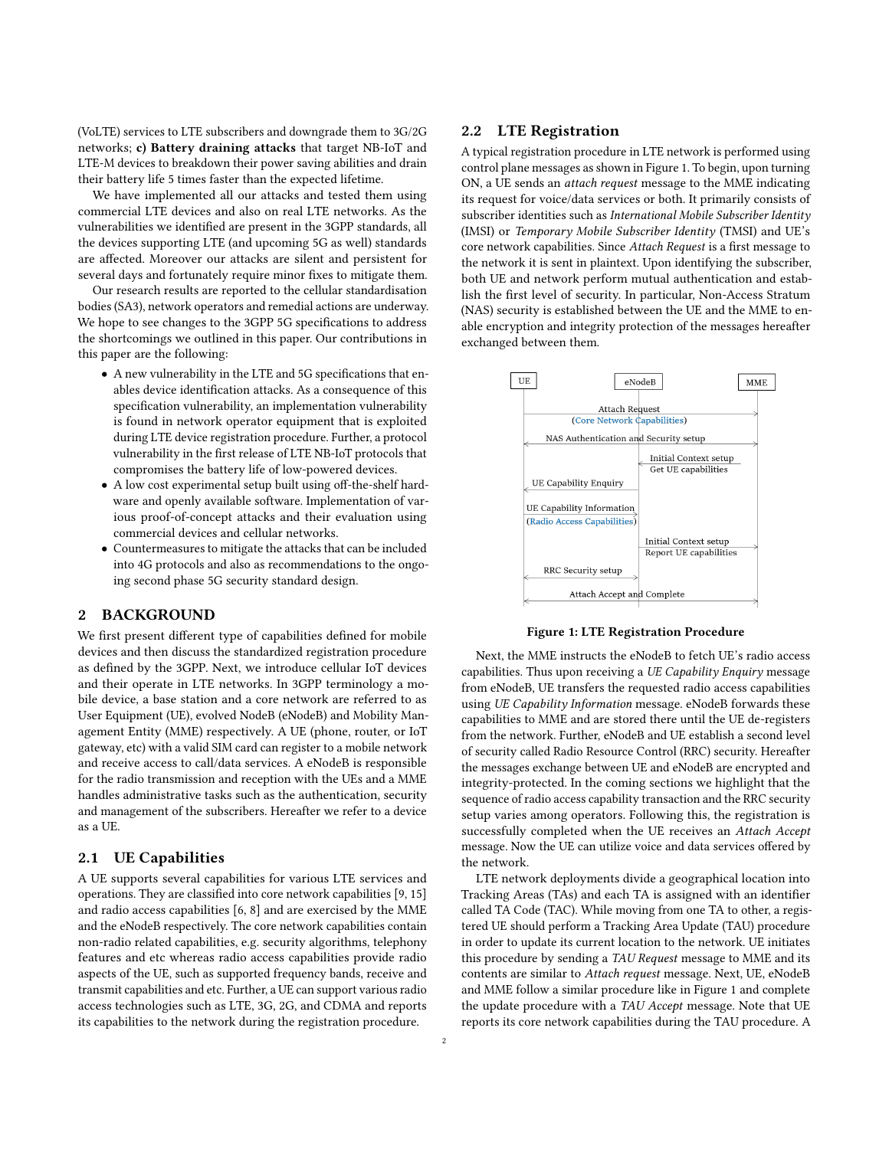(VoLTE) services to LTE subscribers and downgrade them to 3G/2G networks; c) Battery draining attacks that target NB-IoT and LTE-M devices to breakdown their power saving abilities and drain their battery life 5 times faster than the expected lifetime.

We have implemented all our attacks and tested them using commercial LTE devices and also on real LTE networks. As the vulnerabilities we identified are present in the 3GPP standards, all the devices supporting LTE (and upcoming 5G as well) standards are affected. Moreover our attacks are silent and persistent for several days and fortunately require minor fixes to mitigate them.

Our research results are reported to the cellular standardisation bodies (SA3), network operators and remedial actions are underway. We hope to see changes to the 3GPP 5G specifications to address the shortcomings we outlined in this paper. Our contributions in this paper are the following:

- A new vulnerability in the LTE and 5G specifications that enables device identification attacks. As a consequence of this specification vulnerability, an implementation vulnerability is found in network operator equipment that is exploited during LTE device registration procedure. Further, a protocol vulnerability in the first release of LTE NB-IoT protocols that compromises the battery life of low-powered devices.
- A low cost experimental setup built using off-the-shelf hardware and openly available software. Implementation of various proof-of-concept attacks and their evaluation using commercial devices and cellular networks.
- Countermeasures to mitigate the attacks that can be included into 4G protocols and also as recommendations to the ongoing second phase 5G security standard design.

#### 2 BACKGROUND

We first present different type of capabilities defined for mobile devices and then discuss the standardized registration procedure as defined by the 3GPP. Next, we introduce cellular IoT devices and their operate in LTE networks. In 3GPP terminology a mobile device, a base station and a core network are referred to as User Equipment (UE), evolved NodeB (eNodeB) and Mobility Management Entity (MME) respectively. A UE (phone, router, or IoT gateway, etc) with a valid SIM card can register to a mobile network and receive access to call/data services. A eNodeB is responsible for the radio transmission and reception with the UEs and a MME handles administrative tasks such as the authentication, security and management of the subscribers. Hereafter we refer to a device as a UE.

#### 2.1 UE Capabilities

A UE supports several capabilities for various LTE services and operations. They are classified into core network capabilities [\[9,](#page-9-0) [15\]](#page-10-0) and radio access capabilities [\[6,](#page-9-1) [8\]](#page-9-2) and are exercised by the MME and the eNodeB respectively. The core network capabilities contain non-radio related capabilities, e.g. security algorithms, telephony features and etc whereas radio access capabilities provide radio aspects of the UE, such as supported frequency bands, receive and transmit capabilities and etc. Further, a UE can support various radio access technologies such as LTE, 3G, 2G, and CDMA and reports its capabilities to the network during the registration procedure.

#### 2.2 LTE Registration

A typical registration procedure in LTE network is performed using control plane messages as shown in [Figure 1.](#page-1-0) To begin, upon turning ON, a UE sends an attach request message to the MME indicating its request for voice/data services or both. It primarily consists of subscriber identities such as International Mobile Subscriber Identity (IMSI) or Temporary Mobile Subscriber Identity (TMSI) and UE's core network capabilities. Since Attach Request is a first message to the network it is sent in plaintext. Upon identifying the subscriber, both UE and network perform mutual authentication and establish the first level of security. In particular, Non-Access Stratum (NAS) security is established between the UE and the MME to enable encryption and integrity protection of the messages hereafter exchanged between them.

<span id="page-1-0"></span>

Figure 1: LTE Registration Procedure

Next, the MME instructs the eNodeB to fetch UE's radio access capabilities. Thus upon receiving a UE Capability Enquiry message from eNodeB, UE transfers the requested radio access capabilities using UE Capability Information message. eNodeB forwards these capabilities to MME and are stored there until the UE de-registers from the network. Further, eNodeB and UE establish a second level of security called Radio Resource Control (RRC) security. Hereafter the messages exchange between UE and eNodeB are encrypted and integrity-protected. In the coming sections we highlight that the sequence of radio access capability transaction and the RRC security setup varies among operators. Following this, the registration is successfully completed when the UE receives an Attach Accept message. Now the UE can utilize voice and data services offered by the network.

LTE network deployments divide a geographical location into Tracking Areas (TAs) and each TA is assigned with an identifier called TA Code (TAC). While moving from one TA to other, a registered UE should perform a Tracking Area Update (TAU) procedure in order to update its current location to the network. UE initiates this procedure by sending a TAU Request message to MME and its contents are similar to Attach request message. Next, UE, eNodeB and MME follow a similar procedure like in [Figure 1](#page-1-0) and complete the update procedure with a TAU Accept message. Note that UE reports its core network capabilities during the TAU procedure. A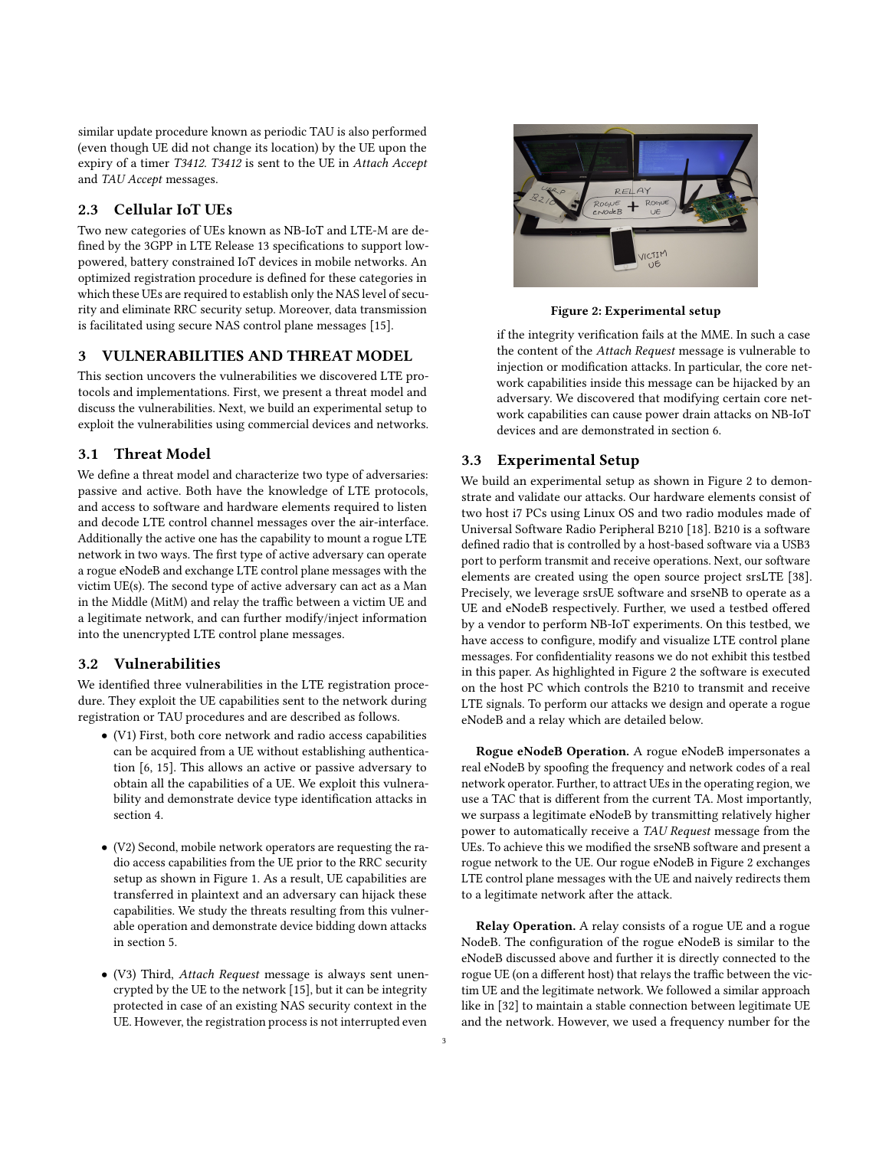similar update procedure known as periodic TAU is also performed (even though UE did not change its location) by the UE upon the expiry of a timer T3412. T3412 is sent to the UE in Attach Accept and TAU Accept messages.

## 2.3 Cellular IoT UEs

Two new categories of UEs known as NB-IoT and LTE-M are defined by the 3GPP in LTE Release 13 specifications to support lowpowered, battery constrained IoT devices in mobile networks. An optimized registration procedure is defined for these categories in which these UEs are required to establish only the NAS level of security and eliminate RRC security setup. Moreover, data transmission is facilitated using secure NAS control plane messages [\[15\]](#page-10-0).

#### 3 VULNERABILITIES AND THREAT MODEL

This section uncovers the vulnerabilities we discovered LTE protocols and implementations. First, we present a threat model and discuss the vulnerabilities. Next, we build an experimental setup to exploit the vulnerabilities using commercial devices and networks.

## 3.1 Threat Model

We define a threat model and characterize two type of adversaries: passive and active. Both have the knowledge of LTE protocols, and access to software and hardware elements required to listen and decode LTE control channel messages over the air-interface. Additionally the active one has the capability to mount a rogue LTE network in two ways. The first type of active adversary can operate a rogue eNodeB and exchange LTE control plane messages with the victim UE(s). The second type of active adversary can act as a Man in the Middle (MitM) and relay the traffic between a victim UE and a legitimate network, and can further modify/inject information into the unencrypted LTE control plane messages.

## 3.2 Vulnerabilities

We identified three vulnerabilities in the LTE registration procedure. They exploit the UE capabilities sent to the network during registration or TAU procedures and are described as follows.

- (V1) First, both core network and radio access capabilities can be acquired from a UE without establishing authentication [\[6,](#page-9-1) [15\]](#page-10-0). This allows an active or passive adversary to obtain all the capabilities of a UE. We exploit this vulnerability and demonstrate device type identification attacks in [section 4.](#page-3-0)
- (V2) Second, mobile network operators are requesting the radio access capabilities from the UE prior to the RRC security setup as shown in [Figure 1.](#page-1-0) As a result, UE capabilities are transferred in plaintext and an adversary can hijack these capabilities. We study the threats resulting from this vulnerable operation and demonstrate device bidding down attacks in [section 5.](#page-5-0)
- (V3) Third, Attach Request message is always sent unencrypted by the UE to the network [\[15\]](#page-10-0), but it can be integrity protected in case of an existing NAS security context in the UE. However, the registration process is not interrupted even

<span id="page-2-0"></span>

Figure 2: Experimental setup

if the integrity verification fails at the MME. In such a case the content of the Attach Request message is vulnerable to injection or modification attacks. In particular, the core network capabilities inside this message can be hijacked by an adversary. We discovered that modifying certain core network capabilities can cause power drain attacks on NB-IoT devices and are demonstrated in [section 6.](#page-7-0)

#### 3.3 Experimental Setup

We build an experimental setup as shown in [Figure 2](#page-2-0) to demonstrate and validate our attacks. Our hardware elements consist of two host i7 PCs using Linux OS and two radio modules made of Universal Software Radio Peripheral B210 [\[18\]](#page-10-1). B210 is a software defined radio that is controlled by a host-based software via a USB3 port to perform transmit and receive operations. Next, our software elements are created using the open source project srsLTE [\[38\]](#page-10-2). Precisely, we leverage srsUE software and srseNB to operate as a UE and eNodeB respectively. Further, we used a testbed offered by a vendor to perform NB-IoT experiments. On this testbed, we have access to configure, modify and visualize LTE control plane messages. For confidentiality reasons we do not exhibit this testbed in this paper. As highlighted in [Figure 2](#page-2-0) the software is executed on the host PC which controls the B210 to transmit and receive LTE signals. To perform our attacks we design and operate a rogue eNodeB and a relay which are detailed below.

Rogue eNodeB Operation. A rogue eNodeB impersonates a real eNodeB by spoofing the frequency and network codes of a real network operator. Further, to attract UEs in the operating region, we use a TAC that is different from the current TA. Most importantly, we surpass a legitimate eNodeB by transmitting relatively higher power to automatically receive a TAU Request message from the UEs. To achieve this we modified the srseNB software and present a rogue network to the UE. Our rogue eNodeB in [Figure 2](#page-2-0) exchanges LTE control plane messages with the UE and naively redirects them to a legitimate network after the attack.

Relay Operation. A relay consists of a rogue UE and a rogue NodeB. The configuration of the rogue eNodeB is similar to the eNodeB discussed above and further it is directly connected to the rogue UE (on a different host) that relays the traffic between the victim UE and the legitimate network. We followed a similar approach like in [\[32\]](#page-10-3) to maintain a stable connection between legitimate UE and the network. However, we used a frequency number for the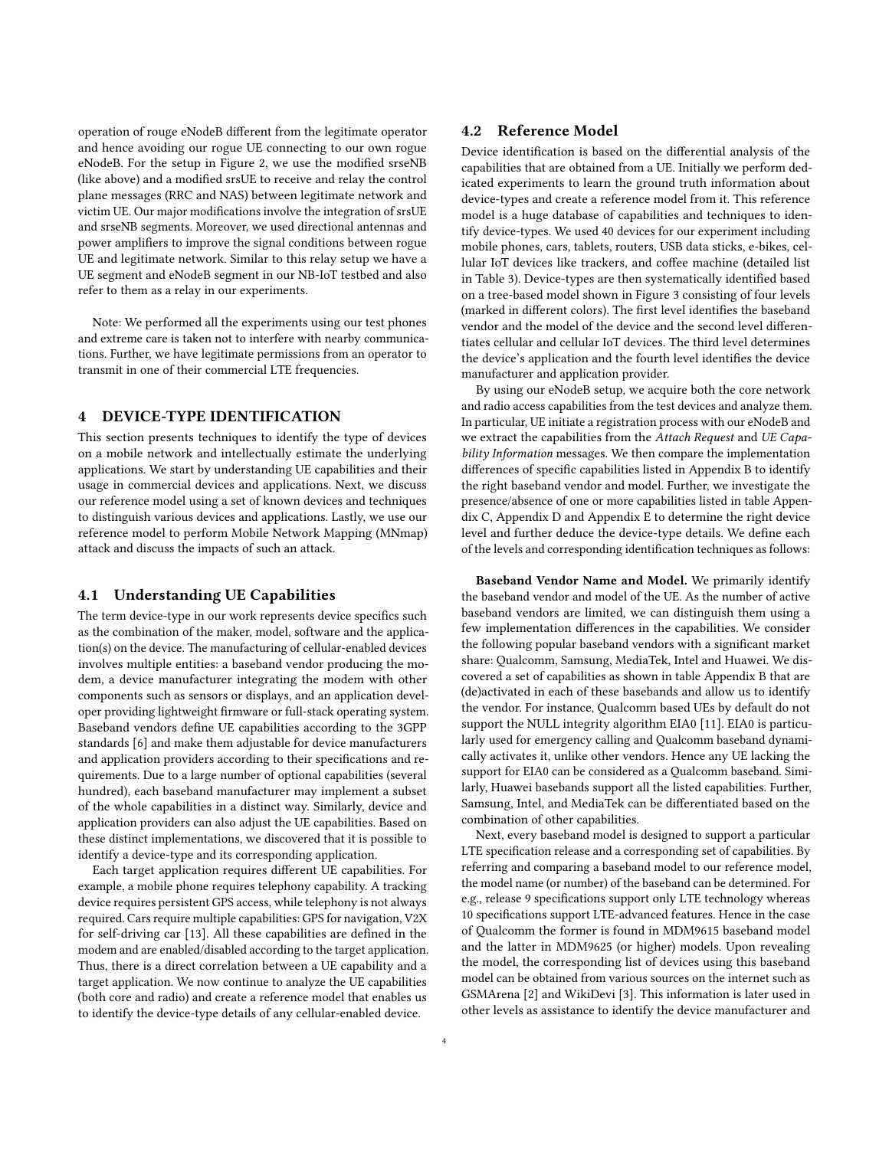operation of rouge eNodeB different from the legitimate operator and hence avoiding our rogue UE connecting to our own rogue eNodeB. For the setup in [Figure 2,](#page-2-0) we use the modified srseNB (like above) and a modified srsUE to receive and relay the control plane messages (RRC and NAS) between legitimate network and victim UE. Our major modifications involve the integration of srsUE and srseNB segments. Moreover, we used directional antennas and power amplifiers to improve the signal conditions between rogue UE and legitimate network. Similar to this relay setup we have a UE segment and eNodeB segment in our NB-IoT testbed and also refer to them as a relay in our experiments.

Note: We performed all the experiments using our test phones and extreme care is taken not to interfere with nearby communications. Further, we have legitimate permissions from an operator to transmit in one of their commercial LTE frequencies.

#### <span id="page-3-0"></span>4 DEVICE-TYPE IDENTIFICATION

This section presents techniques to identify the type of devices on a mobile network and intellectually estimate the underlying applications. We start by understanding UE capabilities and their usage in commercial devices and applications. Next, we discuss our reference model using a set of known devices and techniques to distinguish various devices and applications. Lastly, we use our reference model to perform Mobile Network Mapping (MNmap) attack and discuss the impacts of such an attack.

#### 4.1 Understanding UE Capabilities

The term device-type in our work represents device specifics such as the combination of the maker, model, software and the application(s) on the device. The manufacturing of cellular-enabled devices involves multiple entities: a baseband vendor producing the modem, a device manufacturer integrating the modem with other components such as sensors or displays, and an application developer providing lightweight firmware or full-stack operating system. Baseband vendors define UE capabilities according to the 3GPP standards [\[6\]](#page-9-1) and make them adjustable for device manufacturers and application providers according to their specifications and requirements. Due to a large number of optional capabilities (several hundred), each baseband manufacturer may implement a subset of the whole capabilities in a distinct way. Similarly, device and application providers can also adjust the UE capabilities. Based on these distinct implementations, we discovered that it is possible to identify a device-type and its corresponding application.

Each target application requires different UE capabilities. For example, a mobile phone requires telephony capability. A tracking device requires persistent GPS access, while telephony is not always required. Cars require multiple capabilities: GPS for navigation, V2X for self-driving car [\[13\]](#page-10-4). All these capabilities are defined in the modem and are enabled/disabled according to the target application. Thus, there is a direct correlation between a UE capability and a target application. We now continue to analyze the UE capabilities (both core and radio) and create a reference model that enables us to identify the device-type details of any cellular-enabled device.

## 4.2 Reference Model

Device identification is based on the differential analysis of the capabilities that are obtained from a UE. Initially we perform dedicated experiments to learn the ground truth information about device-types and create a reference model from it. This reference model is a huge database of capabilities and techniques to identify device-types. We used 40 devices for our experiment including mobile phones, cars, tablets, routers, USB data sticks, e-bikes, cellular IoT devices like trackers, and coffee machine (detailed list in [Table 3\)](#page-11-1). Device-types are then systematically identified based on a tree-based model shown in [Figure 3](#page-4-0) consisting of four levels (marked in different colors). The first level identifies the baseband vendor and the model of the device and the second level differentiates cellular and cellular IoT devices. The third level determines the device's application and the fourth level identifies the device manufacturer and application provider.

By using our eNodeB setup, we acquire both the core network and radio access capabilities from the test devices and analyze them. In particular, UE initiate a registration process with our eNodeB and we extract the capabilities from the Attach Request and UE Capability Information messages. We then compare the implementation differences of specific capabilities listed in [Appendix B](#page-11-2) to identify the right baseband vendor and model. Further, we investigate the presence/absence of one or more capabilities listed in table [Appen](#page-11-3)[dix C,](#page-11-3) [Appendix D](#page-11-4) and [Appendix E](#page-11-5) to determine the right device level and further deduce the device-type details. We define each of the levels and corresponding identification techniques as follows:

Baseband Vendor Name and Model. We primarily identify the baseband vendor and model of the UE. As the number of active baseband vendors are limited, we can distinguish them using a few implementation differences in the capabilities. We consider the following popular baseband vendors with a significant market share: Qualcomm, Samsung, MediaTek, Intel and Huawei. We discovered a set of capabilities as shown in table [Appendix B](#page-11-2) that are (de)activated in each of these basebands and allow us to identify the vendor. For instance, Qualcomm based UEs by default do not support the NULL integrity algorithm EIA0 [\[11\]](#page-10-5). EIA0 is particularly used for emergency calling and Qualcomm baseband dynamically activates it, unlike other vendors. Hence any UE lacking the support for EIA0 can be considered as a Qualcomm baseband. Similarly, Huawei basebands support all the listed capabilities. Further, Samsung, Intel, and MediaTek can be differentiated based on the combination of other capabilities.

Next, every baseband model is designed to support a particular LTE specification release and a corresponding set of capabilities. By referring and comparing a baseband model to our reference model, the model name (or number) of the baseband can be determined. For e.g., release 9 specifications support only LTE technology whereas 10 specifications support LTE-advanced features. Hence in the case of Qualcomm the former is found in MDM9615 baseband model and the latter in MDM9625 (or higher) models. Upon revealing the model, the corresponding list of devices using this baseband model can be obtained from various sources on the internet such as GSMArena [\[2\]](#page-9-3) and WikiDevi [\[3\]](#page-9-4). This information is later used in other levels as assistance to identify the device manufacturer and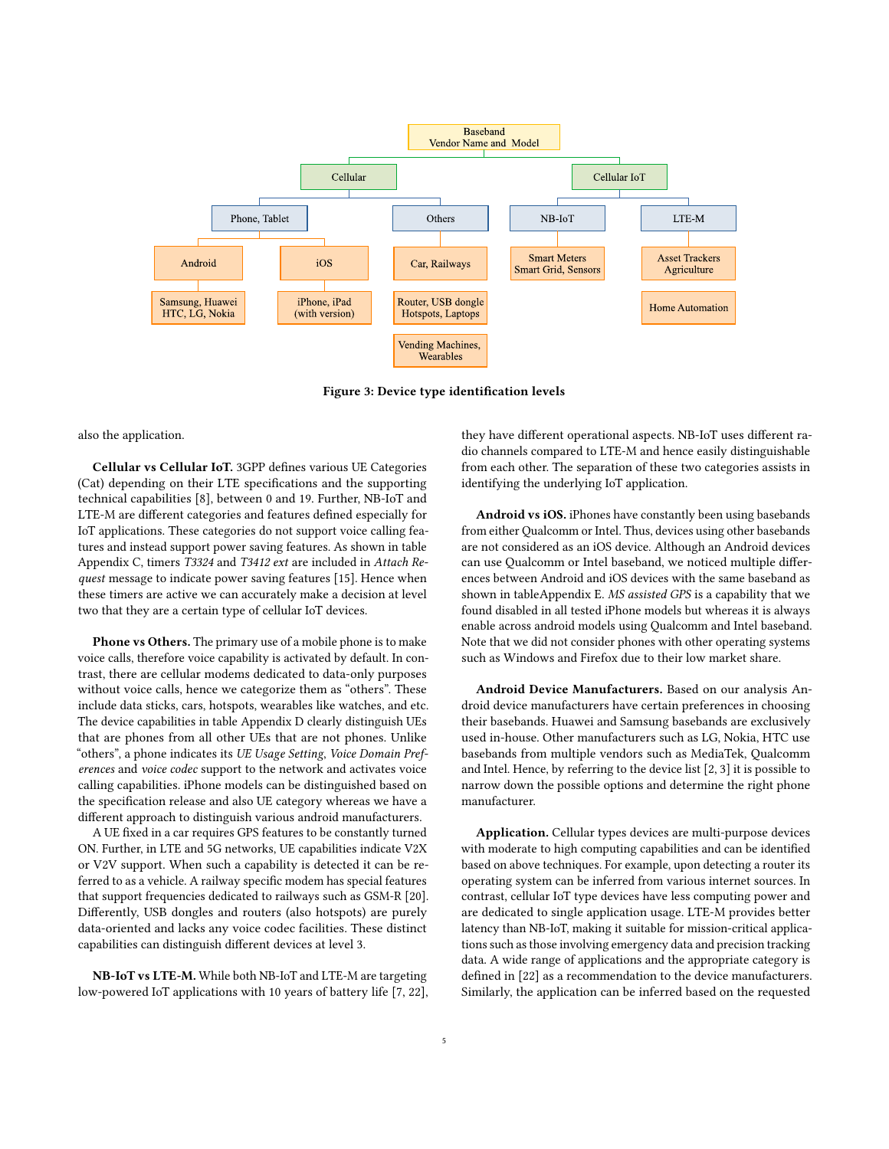<span id="page-4-0"></span>

Figure 3: Device type identification levels

also the application.

Cellular vs Cellular IoT. 3GPP defines various UE Categories (Cat) depending on their LTE specifications and the supporting technical capabilities [\[8\]](#page-9-2), between 0 and 19. Further, NB-IoT and LTE-M are different categories and features defined especially for IoT applications. These categories do not support voice calling features and instead support power saving features. As shown in table [Appendix C,](#page-11-3) timers T3324 and T3412 ext are included in Attach Request message to indicate power saving features [\[15\]](#page-10-0). Hence when these timers are active we can accurately make a decision at level two that they are a certain type of cellular IoT devices.

Phone vs Others. The primary use of a mobile phone is to make voice calls, therefore voice capability is activated by default. In contrast, there are cellular modems dedicated to data-only purposes without voice calls, hence we categorize them as "others". These include data sticks, cars, hotspots, wearables like watches, and etc. The device capabilities in table [Appendix D](#page-11-4) clearly distinguish UEs that are phones from all other UEs that are not phones. Unlike "others", a phone indicates its UE Usage Setting, Voice Domain Preferences and voice codec support to the network and activates voice calling capabilities. iPhone models can be distinguished based on the specification release and also UE category whereas we have a different approach to distinguish various android manufacturers.

A UE fixed in a car requires GPS features to be constantly turned ON. Further, in LTE and 5G networks, UE capabilities indicate V2X or V2V support. When such a capability is detected it can be referred to as a vehicle. A railway specific modem has special features that support frequencies dedicated to railways such as GSM-R [\[20\]](#page-10-6). Differently, USB dongles and routers (also hotspots) are purely data-oriented and lacks any voice codec facilities. These distinct capabilities can distinguish different devices at level 3.

NB-IoT vs LTE-M. While both NB-IoT and LTE-M are targeting low-powered IoT applications with 10 years of battery life [\[7,](#page-9-5) [22\]](#page-10-7), they have different operational aspects. NB-IoT uses different radio channels compared to LTE-M and hence easily distinguishable from each other. The separation of these two categories assists in identifying the underlying IoT application.

Android vs iOS. iPhones have constantly been using basebands from either Qualcomm or Intel. Thus, devices using other basebands are not considered as an iOS device. Although an Android devices can use Qualcomm or Intel baseband, we noticed multiple differences between Android and iOS devices with the same baseband as shown in tabl[eAppendix E.](#page-11-5) MS assisted GPS is a capability that we found disabled in all tested iPhone models but whereas it is always enable across android models using Qualcomm and Intel baseband. Note that we did not consider phones with other operating systems such as Windows and Firefox due to their low market share.

Android Device Manufacturers. Based on our analysis Android device manufacturers have certain preferences in choosing their basebands. Huawei and Samsung basebands are exclusively used in-house. Other manufacturers such as LG, Nokia, HTC use basebands from multiple vendors such as MediaTek, Qualcomm and Intel. Hence, by referring to the device list [\[2,](#page-9-3) [3\]](#page-9-4) it is possible to narrow down the possible options and determine the right phone manufacturer.

Application. Cellular types devices are multi-purpose devices with moderate to high computing capabilities and can be identified based on above techniques. For example, upon detecting a router its operating system can be inferred from various internet sources. In contrast, cellular IoT type devices have less computing power and are dedicated to single application usage. LTE-M provides better latency than NB-IoT, making it suitable for mission-critical applications such as those involving emergency data and precision tracking data. A wide range of applications and the appropriate category is defined in [\[22\]](#page-10-7) as a recommendation to the device manufacturers. Similarly, the application can be inferred based on the requested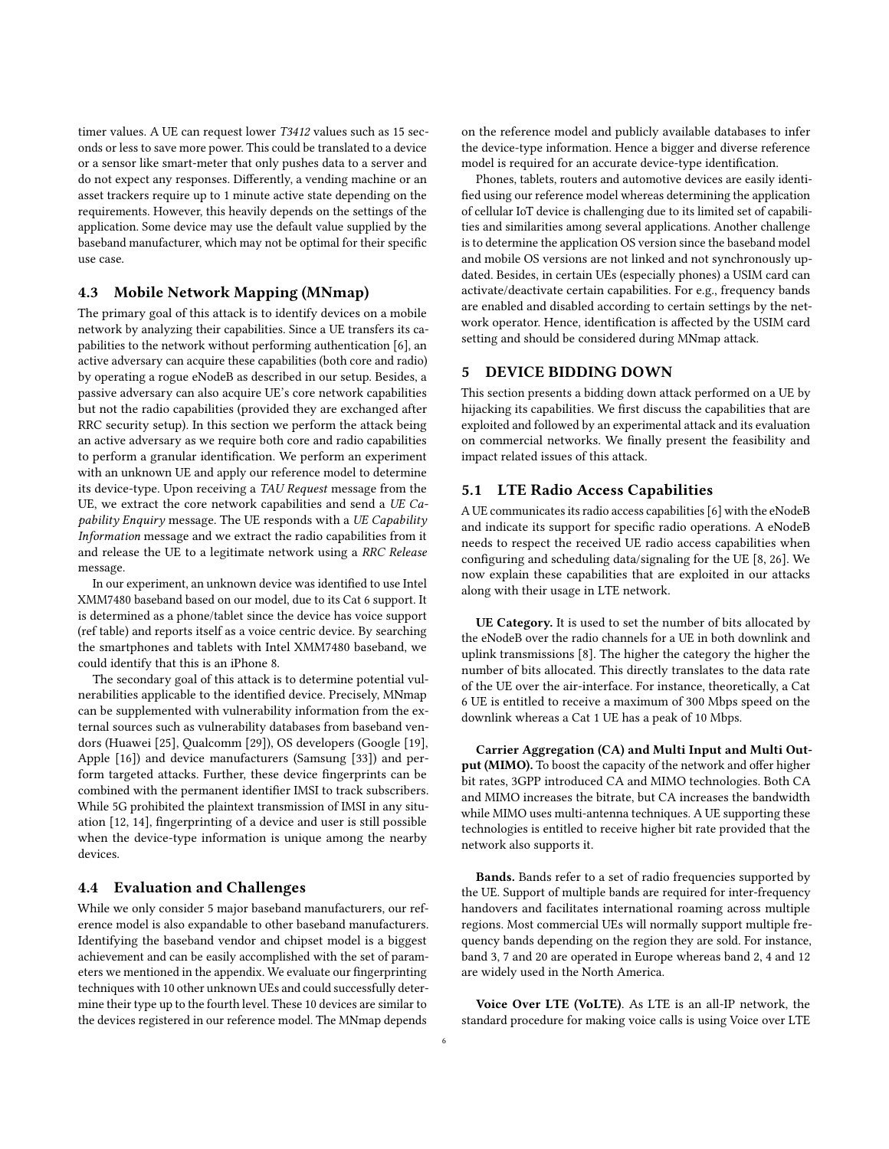timer values. A UE can request lower T3412 values such as 15 seconds or less to save more power. This could be translated to a device or a sensor like smart-meter that only pushes data to a server and do not expect any responses. Differently, a vending machine or an asset trackers require up to 1 minute active state depending on the requirements. However, this heavily depends on the settings of the application. Some device may use the default value supplied by the baseband manufacturer, which may not be optimal for their specific use case.

## 4.3 Mobile Network Mapping (MNmap)

The primary goal of this attack is to identify devices on a mobile network by analyzing their capabilities. Since a UE transfers its capabilities to the network without performing authentication [\[6\]](#page-9-1), an active adversary can acquire these capabilities (both core and radio) by operating a rogue eNodeB as described in our setup. Besides, a passive adversary can also acquire UE's core network capabilities but not the radio capabilities (provided they are exchanged after RRC security setup). In this section we perform the attack being an active adversary as we require both core and radio capabilities to perform a granular identification. We perform an experiment with an unknown UE and apply our reference model to determine its device-type. Upon receiving a TAU Request message from the UE, we extract the core network capabilities and send a UE Capability Enquiry message. The UE responds with a UE Capability Information message and we extract the radio capabilities from it and release the UE to a legitimate network using a RRC Release message.

In our experiment, an unknown device was identified to use Intel XMM7480 baseband based on our model, due to its Cat 6 support. It is determined as a phone/tablet since the device has voice support (ref table) and reports itself as a voice centric device. By searching the smartphones and tablets with Intel XMM7480 baseband, we could identify that this is an iPhone 8.

The secondary goal of this attack is to determine potential vulnerabilities applicable to the identified device. Precisely, MNmap can be supplemented with vulnerability information from the external sources such as vulnerability databases from baseband vendors (Huawei [\[25\]](#page-10-8), Qualcomm [\[29\]](#page-10-9)), OS developers (Google [\[19\]](#page-10-10), Apple [\[16\]](#page-10-11)) and device manufacturers (Samsung [\[33\]](#page-10-12)) and perform targeted attacks. Further, these device fingerprints can be combined with the permanent identifier IMSI to track subscribers. While 5G prohibited the plaintext transmission of IMSI in any situation [\[12,](#page-10-13) [14\]](#page-10-14), fingerprinting of a device and user is still possible when the device-type information is unique among the nearby devices.

#### 4.4 Evaluation and Challenges

While we only consider 5 major baseband manufacturers, our reference model is also expandable to other baseband manufacturers. Identifying the baseband vendor and chipset model is a biggest achievement and can be easily accomplished with the set of parameters we mentioned in the appendix. We evaluate our fingerprinting techniques with 10 other unknown UEs and could successfully determine their type up to the fourth level. These 10 devices are similar to the devices registered in our reference model. The MNmap depends

on the reference model and publicly available databases to infer the device-type information. Hence a bigger and diverse reference model is required for an accurate device-type identification.

Phones, tablets, routers and automotive devices are easily identified using our reference model whereas determining the application of cellular IoT device is challenging due to its limited set of capabilities and similarities among several applications. Another challenge is to determine the application OS version since the baseband model and mobile OS versions are not linked and not synchronously updated. Besides, in certain UEs (especially phones) a USIM card can activate/deactivate certain capabilities. For e.g., frequency bands are enabled and disabled according to certain settings by the network operator. Hence, identification is affected by the USIM card setting and should be considered during MNmap attack.

#### <span id="page-5-0"></span>5 DEVICE BIDDING DOWN

This section presents a bidding down attack performed on a UE by hijacking its capabilities. We first discuss the capabilities that are exploited and followed by an experimental attack and its evaluation on commercial networks. We finally present the feasibility and impact related issues of this attack.

#### 5.1 LTE Radio Access Capabilities

A UE communicates its radio access capabilities [\[6\]](#page-9-1) with the eNodeB and indicate its support for specific radio operations. A eNodeB needs to respect the received UE radio access capabilities when configuring and scheduling data/signaling for the UE [\[8,](#page-9-2) [26\]](#page-10-15). We now explain these capabilities that are exploited in our attacks along with their usage in LTE network.

UE Category. It is used to set the number of bits allocated by the eNodeB over the radio channels for a UE in both downlink and uplink transmissions [\[8\]](#page-9-2). The higher the category the higher the number of bits allocated. This directly translates to the data rate of the UE over the air-interface. For instance, theoretically, a Cat 6 UE is entitled to receive a maximum of 300 Mbps speed on the downlink whereas a Cat 1 UE has a peak of 10 Mbps.

Carrier Aggregation (CA) and Multi Input and Multi Output (MIMO). To boost the capacity of the network and offer higher bit rates, 3GPP introduced CA and MIMO technologies. Both CA and MIMO increases the bitrate, but CA increases the bandwidth while MIMO uses multi-antenna techniques. A UE supporting these technologies is entitled to receive higher bit rate provided that the network also supports it.

Bands. Bands refer to a set of radio frequencies supported by the UE. Support of multiple bands are required for inter-frequency handovers and facilitates international roaming across multiple regions. Most commercial UEs will normally support multiple frequency bands depending on the region they are sold. For instance, band 3, 7 and 20 are operated in Europe whereas band 2, 4 and 12 are widely used in the North America.

Voice Over LTE (VoLTE). As LTE is an all-IP network, the standard procedure for making voice calls is using Voice over LTE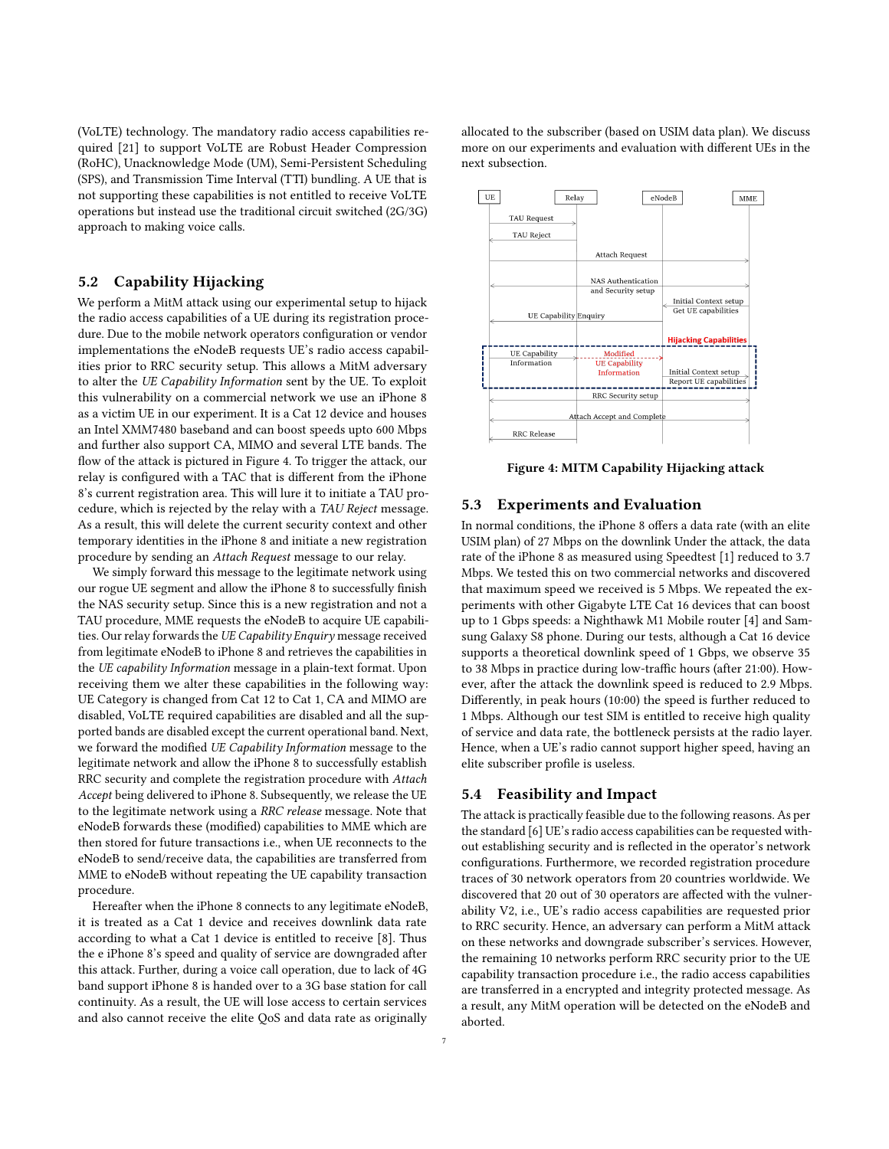(VoLTE) technology. The mandatory radio access capabilities required [\[21\]](#page-10-16) to support VoLTE are Robust Header Compression (RoHC), Unacknowledge Mode (UM), Semi-Persistent Scheduling (SPS), and Transmission Time Interval (TTI) bundling. A UE that is not supporting these capabilities is not entitled to receive VoLTE operations but instead use the traditional circuit switched (2G/3G) approach to making voice calls.

#### 5.2 Capability Hijacking

We perform a MitM attack using our experimental setup to hijack the radio access capabilities of a UE during its registration procedure. Due to the mobile network operators configuration or vendor implementations the eNodeB requests UE's radio access capabilities prior to RRC security setup. This allows a MitM adversary to alter the UE Capability Information sent by the UE. To exploit this vulnerability on a commercial network we use an iPhone 8 as a victim UE in our experiment. It is a Cat 12 device and houses an Intel XMM7480 baseband and can boost speeds upto 600 Mbps and further also support CA, MIMO and several LTE bands. The flow of the attack is pictured in [Figure 4.](#page-6-0) To trigger the attack, our relay is configured with a TAC that is different from the iPhone 8's current registration area. This will lure it to initiate a TAU procedure, which is rejected by the relay with a TAU Reject message. As a result, this will delete the current security context and other temporary identities in the iPhone 8 and initiate a new registration procedure by sending an Attach Request message to our relay.

We simply forward this message to the legitimate network using our rogue UE segment and allow the iPhone 8 to successfully finish the NAS security setup. Since this is a new registration and not a TAU procedure, MME requests the eNodeB to acquire UE capabilities. Our relay forwards the UE Capability Enquiry message received from legitimate eNodeB to iPhone 8 and retrieves the capabilities in the UE capability Information message in a plain-text format. Upon receiving them we alter these capabilities in the following way: UE Category is changed from Cat 12 to Cat 1, CA and MIMO are disabled, VoLTE required capabilities are disabled and all the supported bands are disabled except the current operational band. Next, we forward the modified UE Capability Information message to the legitimate network and allow the iPhone 8 to successfully establish RRC security and complete the registration procedure with Attach Accept being delivered to iPhone 8. Subsequently, we release the UE to the legitimate network using a RRC release message. Note that eNodeB forwards these (modified) capabilities to MME which are then stored for future transactions i.e., when UE reconnects to the eNodeB to send/receive data, the capabilities are transferred from MME to eNodeB without repeating the UE capability transaction procedure.

Hereafter when the iPhone 8 connects to any legitimate eNodeB, it is treated as a Cat 1 device and receives downlink data rate according to what a Cat 1 device is entitled to receive [\[8\]](#page-9-2). Thus the e iPhone 8's speed and quality of service are downgraded after this attack. Further, during a voice call operation, due to lack of 4G band support iPhone 8 is handed over to a 3G base station for call continuity. As a result, the UE will lose access to certain services and also cannot receive the elite QoS and data rate as originally

allocated to the subscriber (based on USIM data plan). We discuss more on our experiments and evaluation with different UEs in the next subsection.

<span id="page-6-0"></span>

Figure 4: MITM Capability Hijacking attack

#### 5.3 Experiments and Evaluation

In normal conditions, the iPhone 8 offers a data rate (with an elite USIM plan) of 27 Mbps on the downlink Under the attack, the data rate of the iPhone 8 as measured using Speedtest [\[1\]](#page-9-6) reduced to 3.7 Mbps. We tested this on two commercial networks and discovered that maximum speed we received is 5 Mbps. We repeated the experiments with other Gigabyte LTE Cat 16 devices that can boost up to 1 Gbps speeds: a Nighthawk M1 Mobile router [\[4\]](#page-9-7) and Samsung Galaxy S8 phone. During our tests, although a Cat 16 device supports a theoretical downlink speed of 1 Gbps, we observe 35 to 38 Mbps in practice during low-traffic hours (after 21:00). However, after the attack the downlink speed is reduced to 2.9 Mbps. Differently, in peak hours (10:00) the speed is further reduced to 1 Mbps. Although our test SIM is entitled to receive high quality of service and data rate, the bottleneck persists at the radio layer. Hence, when a UE's radio cannot support higher speed, having an elite subscriber profile is useless.

#### 5.4 Feasibility and Impact

The attack is practically feasible due to the following reasons. As per the standard [\[6\]](#page-9-1) UE's radio access capabilities can be requested without establishing security and is reflected in the operator's network configurations. Furthermore, we recorded registration procedure traces of 30 network operators from 20 countries worldwide. We discovered that 20 out of 30 operators are affected with the vulnerability V2, i.e., UE's radio access capabilities are requested prior to RRC security. Hence, an adversary can perform a MitM attack on these networks and downgrade subscriber's services. However, the remaining 10 networks perform RRC security prior to the UE capability transaction procedure i.e., the radio access capabilities are transferred in a encrypted and integrity protected message. As a result, any MitM operation will be detected on the eNodeB and aborted.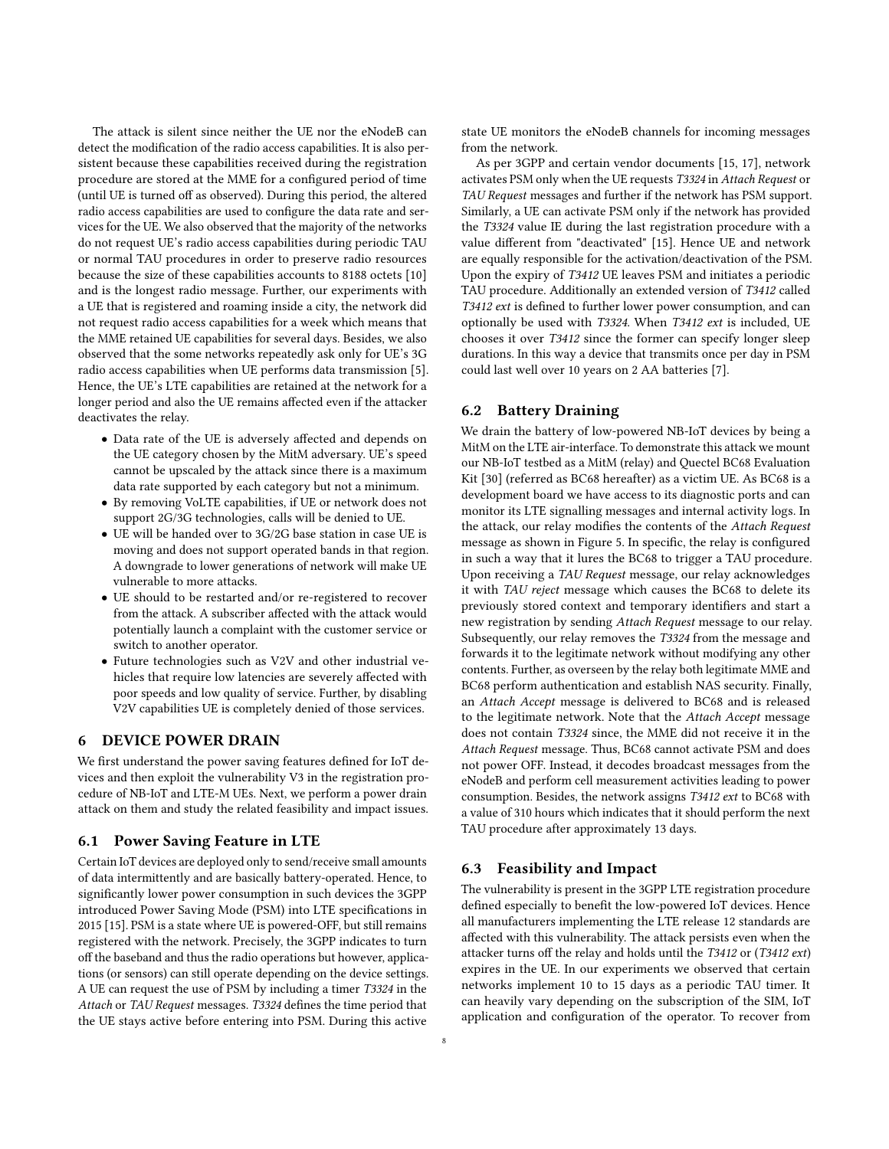The attack is silent since neither the UE nor the eNodeB can detect the modification of the radio access capabilities. It is also persistent because these capabilities received during the registration procedure are stored at the MME for a configured period of time (until UE is turned off as observed). During this period, the altered radio access capabilities are used to configure the data rate and services for the UE. We also observed that the majority of the networks do not request UE's radio access capabilities during periodic TAU or normal TAU procedures in order to preserve radio resources because the size of these capabilities accounts to 8188 octets [\[10\]](#page-10-17) and is the longest radio message. Further, our experiments with a UE that is registered and roaming inside a city, the network did not request radio access capabilities for a week which means that the MME retained UE capabilities for several days. Besides, we also observed that the some networks repeatedly ask only for UE's 3G radio access capabilities when UE performs data transmission [\[5\]](#page-9-8). Hence, the UE's LTE capabilities are retained at the network for a longer period and also the UE remains affected even if the attacker deactivates the relay.

- Data rate of the UE is adversely affected and depends on the UE category chosen by the MitM adversary. UE's speed cannot be upscaled by the attack since there is a maximum data rate supported by each category but not a minimum.
- By removing VoLTE capabilities, if UE or network does not support 2G/3G technologies, calls will be denied to UE.
- UE will be handed over to 3G/2G base station in case UE is moving and does not support operated bands in that region. A downgrade to lower generations of network will make UE vulnerable to more attacks.
- UE should to be restarted and/or re-registered to recover from the attack. A subscriber affected with the attack would potentially launch a complaint with the customer service or switch to another operator.
- Future technologies such as V2V and other industrial vehicles that require low latencies are severely affected with poor speeds and low quality of service. Further, by disabling V2V capabilities UE is completely denied of those services.

## <span id="page-7-0"></span>6 DEVICE POWER DRAIN

We first understand the power saving features defined for IoT devices and then exploit the vulnerability V3 in the registration procedure of NB-IoT and LTE-M UEs. Next, we perform a power drain attack on them and study the related feasibility and impact issues.

#### 6.1 Power Saving Feature in LTE

Certain IoT devices are deployed only to send/receive small amounts of data intermittently and are basically battery-operated. Hence, to significantly lower power consumption in such devices the 3GPP introduced Power Saving Mode (PSM) into LTE specifications in 2015 [\[15\]](#page-10-0). PSM is a state where UE is powered-OFF, but still remains registered with the network. Precisely, the 3GPP indicates to turn off the baseband and thus the radio operations but however, applications (or sensors) can still operate depending on the device settings. A UE can request the use of PSM by including a timer T3324 in the Attach or TAU Request messages. T3324 defines the time period that the UE stays active before entering into PSM. During this active

state UE monitors the eNodeB channels for incoming messages from the network.

As per 3GPP and certain vendor documents [\[15,](#page-10-0) [17\]](#page-10-18), network activates PSM only when the UE requests T3324 in Attach Request or TAU Request messages and further if the network has PSM support. Similarly, a UE can activate PSM only if the network has provided the T3324 value IE during the last registration procedure with a value different from "deactivated" [\[15\]](#page-10-0). Hence UE and network are equally responsible for the activation/deactivation of the PSM. Upon the expiry of T3412 UE leaves PSM and initiates a periodic TAU procedure. Additionally an extended version of T3412 called T3412 ext is defined to further lower power consumption, and can optionally be used with T3324. When T3412 ext is included, UE chooses it over T3412 since the former can specify longer sleep durations. In this way a device that transmits once per day in PSM could last well over 10 years on 2 AA batteries [\[7\]](#page-9-5).

#### 6.2 Battery Draining

We drain the battery of low-powered NB-IoT devices by being a MitM on the LTE air-interface. To demonstrate this attack we mount our NB-IoT testbed as a MitM (relay) and Quectel BC68 Evaluation Kit [\[30\]](#page-10-19) (referred as BC68 hereafter) as a victim UE. As BC68 is a development board we have access to its diagnostic ports and can monitor its LTE signalling messages and internal activity logs. In the attack, our relay modifies the contents of the Attach Request message as shown in [Figure 5.](#page-8-0) In specific, the relay is configured in such a way that it lures the BC68 to trigger a TAU procedure. Upon receiving a TAU Request message, our relay acknowledges it with TAU reject message which causes the BC68 to delete its previously stored context and temporary identifiers and start a new registration by sending Attach Request message to our relay. Subsequently, our relay removes the T3324 from the message and forwards it to the legitimate network without modifying any other contents. Further, as overseen by the relay both legitimate MME and BC68 perform authentication and establish NAS security. Finally, an Attach Accept message is delivered to BC68 and is released to the legitimate network. Note that the Attach Accept message does not contain T3324 since, the MME did not receive it in the Attach Request message. Thus, BC68 cannot activate PSM and does not power OFF. Instead, it decodes broadcast messages from the eNodeB and perform cell measurement activities leading to power consumption. Besides, the network assigns T3412 ext to BC68 with a value of 310 hours which indicates that it should perform the next TAU procedure after approximately 13 days.

#### 6.3 Feasibility and Impact

The vulnerability is present in the 3GPP LTE registration procedure defined especially to benefit the low-powered IoT devices. Hence all manufacturers implementing the LTE release 12 standards are affected with this vulnerability. The attack persists even when the attacker turns off the relay and holds until the T3412 or (T3412 ext) expires in the UE. In our experiments we observed that certain networks implement 10 to 15 days as a periodic TAU timer. It can heavily vary depending on the subscription of the SIM, IoT application and configuration of the operator. To recover from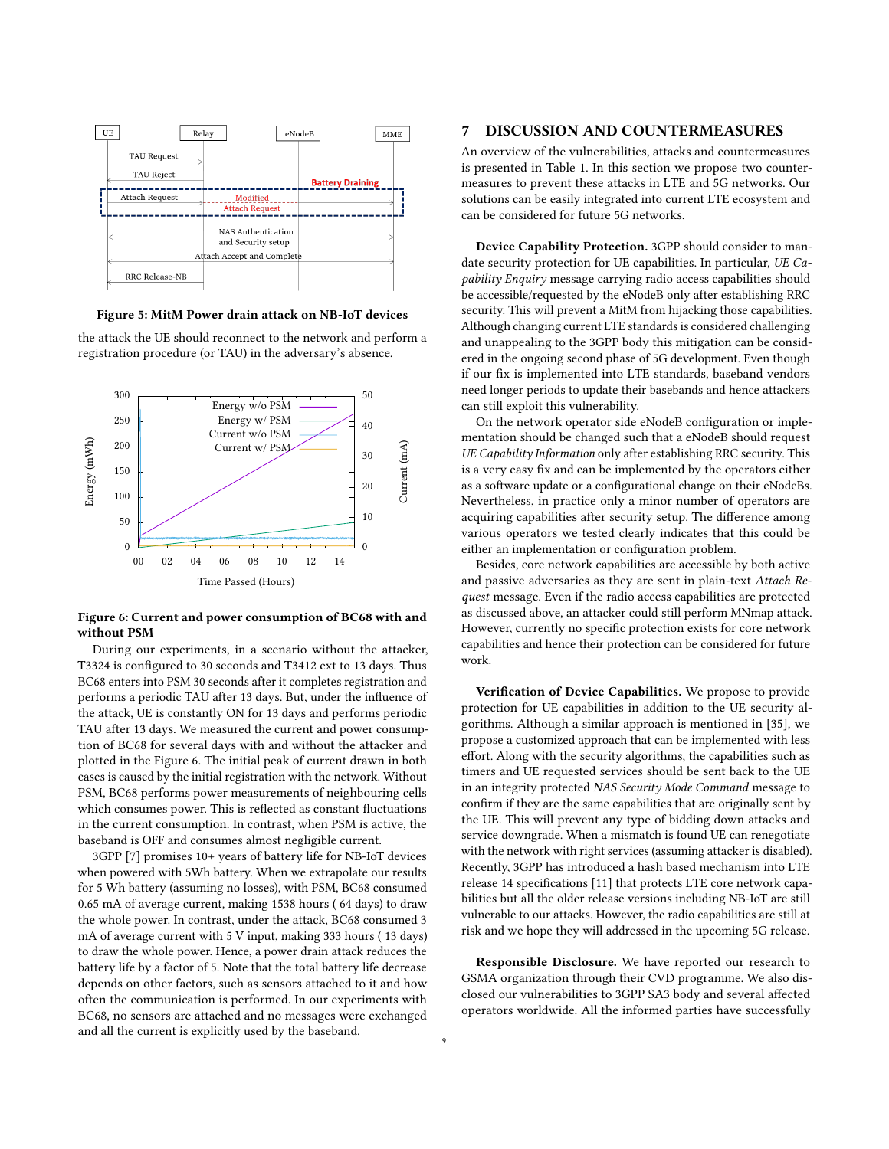<span id="page-8-0"></span>

Figure 5: MitM Power drain attack on NB-IoT devices

the attack the UE should reconnect to the network and perform a registration procedure (or TAU) in the adversary's absence.

<span id="page-8-1"></span>

#### Figure 6: Current and power consumption of BC68 with and without PSM

During our experiments, in a scenario without the attacker, T3324 is configured to 30 seconds and T3412 ext to 13 days. Thus BC68 enters into PSM 30 seconds after it completes registration and performs a periodic TAU after 13 days. But, under the influence of the attack, UE is constantly ON for 13 days and performs periodic TAU after 13 days. We measured the current and power consumption of BC68 for several days with and without the attacker and plotted in the [Figure 6.](#page-8-1) The initial peak of current drawn in both cases is caused by the initial registration with the network. Without PSM, BC68 performs power measurements of neighbouring cells which consumes power. This is reflected as constant fluctuations in the current consumption. In contrast, when PSM is active, the baseband is OFF and consumes almost negligible current.

3GPP [\[7\]](#page-9-5) promises 10+ years of battery life for NB-IoT devices when powered with 5Wh battery. When we extrapolate our results for 5 Wh battery (assuming no losses), with PSM, BC68 consumed 0.65 mA of average current, making 1538 hours ( 64 days) to draw the whole power. In contrast, under the attack, BC68 consumed 3 mA of average current with 5 V input, making 333 hours ( 13 days) to draw the whole power. Hence, a power drain attack reduces the battery life by a factor of 5. Note that the total battery life decrease depends on other factors, such as sensors attached to it and how often the communication is performed. In our experiments with BC68, no sensors are attached and no messages were exchanged and all the current is explicitly used by the baseband.

## 7 DISCUSSION AND COUNTERMEASURES

An overview of the vulnerabilities, attacks and countermeasures is presented in [Table 1.](#page-10-20) In this section we propose two countermeasures to prevent these attacks in LTE and 5G networks. Our solutions can be easily integrated into current LTE ecosystem and can be considered for future 5G networks.

Device Capability Protection. 3GPP should consider to mandate security protection for UE capabilities. In particular, UE Capability Enquiry message carrying radio access capabilities should be accessible/requested by the eNodeB only after establishing RRC security. This will prevent a MitM from hijacking those capabilities. Although changing current LTE standards is considered challenging and unappealing to the 3GPP body this mitigation can be considered in the ongoing second phase of 5G development. Even though if our fix is implemented into LTE standards, baseband vendors need longer periods to update their basebands and hence attackers can still exploit this vulnerability.

On the network operator side eNodeB configuration or implementation should be changed such that a eNodeB should request UE Capability Information only after establishing RRC security. This is a very easy fix and can be implemented by the operators either as a software update or a configurational change on their eNodeBs. Nevertheless, in practice only a minor number of operators are acquiring capabilities after security setup. The difference among various operators we tested clearly indicates that this could be either an implementation or configuration problem.

Besides, core network capabilities are accessible by both active and passive adversaries as they are sent in plain-text Attach Request message. Even if the radio access capabilities are protected as discussed above, an attacker could still perform MNmap attack. However, currently no specific protection exists for core network capabilities and hence their protection can be considered for future work.

Verification of Device Capabilities. We propose to provide protection for UE capabilities in addition to the UE security algorithms. Although a similar approach is mentioned in [\[35\]](#page-10-21), we propose a customized approach that can be implemented with less effort. Along with the security algorithms, the capabilities such as timers and UE requested services should be sent back to the UE in an integrity protected NAS Security Mode Command message to confirm if they are the same capabilities that are originally sent by the UE. This will prevent any type of bidding down attacks and service downgrade. When a mismatch is found UE can renegotiate with the network with right services (assuming attacker is disabled). Recently, 3GPP has introduced a hash based mechanism into LTE release 14 specifications [\[11\]](#page-10-5) that protects LTE core network capabilities but all the older release versions including NB-IoT are still vulnerable to our attacks. However, the radio capabilities are still at risk and we hope they will addressed in the upcoming 5G release.

Responsible Disclosure. We have reported our research to GSMA organization through their CVD programme. We also disclosed our vulnerabilities to 3GPP SA3 body and several affected operators worldwide. All the informed parties have successfully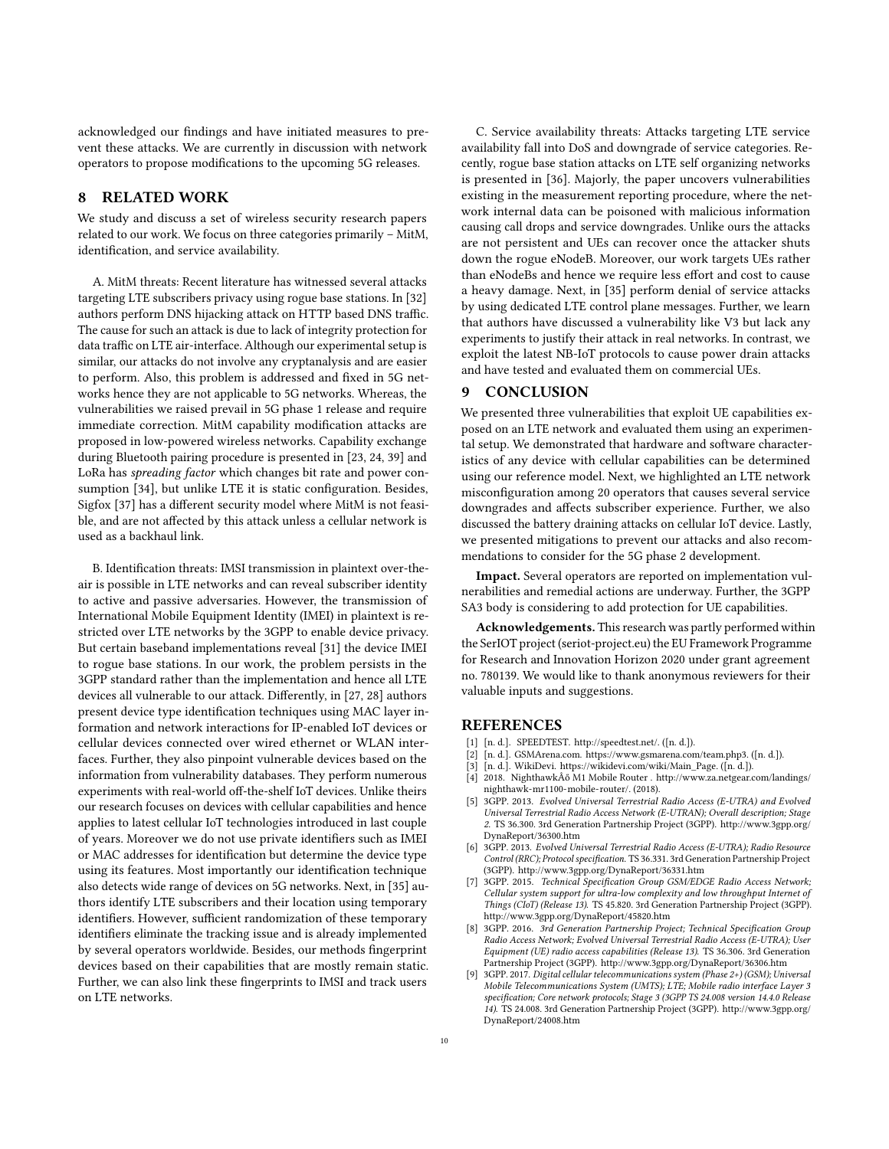acknowledged our findings and have initiated measures to prevent these attacks. We are currently in discussion with network operators to propose modifications to the upcoming 5G releases.

## 8 RELATED WORK

We study and discuss a set of wireless security research papers related to our work. We focus on three categories primarily – MitM, identification, and service availability.

A. MitM threats: Recent literature has witnessed several attacks targeting LTE subscribers privacy using rogue base stations. In [\[32\]](#page-10-3) authors perform DNS hijacking attack on HTTP based DNS traffic. The cause for such an attack is due to lack of integrity protection for data traffic on LTE air-interface. Although our experimental setup is similar, our attacks do not involve any cryptanalysis and are easier to perform. Also, this problem is addressed and fixed in 5G networks hence they are not applicable to 5G networks. Whereas, the vulnerabilities we raised prevail in 5G phase 1 release and require immediate correction. MitM capability modification attacks are proposed in low-powered wireless networks. Capability exchange during Bluetooth pairing procedure is presented in [\[23,](#page-10-22) [24,](#page-10-23) [39\]](#page-10-24) and LoRa has spreading factor which changes bit rate and power consumption [\[34\]](#page-10-25), but unlike LTE it is static configuration. Besides, Sigfox [\[37\]](#page-10-26) has a different security model where MitM is not feasible, and are not affected by this attack unless a cellular network is used as a backhaul link.

B. Identification threats: IMSI transmission in plaintext over-theair is possible in LTE networks and can reveal subscriber identity to active and passive adversaries. However, the transmission of International Mobile Equipment Identity (IMEI) in plaintext is restricted over LTE networks by the 3GPP to enable device privacy. But certain baseband implementations reveal [\[31\]](#page-10-27) the device IMEI to rogue base stations. In our work, the problem persists in the 3GPP standard rather than the implementation and hence all LTE devices all vulnerable to our attack. Differently, in [\[27,](#page-10-28) [28\]](#page-10-29) authors present device type identification techniques using MAC layer information and network interactions for IP-enabled IoT devices or cellular devices connected over wired ethernet or WLAN interfaces. Further, they also pinpoint vulnerable devices based on the information from vulnerability databases. They perform numerous experiments with real-world off-the-shelf IoT devices. Unlike theirs our research focuses on devices with cellular capabilities and hence applies to latest cellular IoT technologies introduced in last couple of years. Moreover we do not use private identifiers such as IMEI or MAC addresses for identification but determine the device type using its features. Most importantly our identification technique also detects wide range of devices on 5G networks. Next, in [\[35\]](#page-10-21) authors identify LTE subscribers and their location using temporary identifiers. However, sufficient randomization of these temporary identifiers eliminate the tracking issue and is already implemented by several operators worldwide. Besides, our methods fingerprint devices based on their capabilities that are mostly remain static. Further, we can also link these fingerprints to IMSI and track users on LTE networks.

C. Service availability threats: Attacks targeting LTE service availability fall into DoS and downgrade of service categories. Recently, rogue base station attacks on LTE self organizing networks is presented in [\[36\]](#page-10-30). Majorly, the paper uncovers vulnerabilities existing in the measurement reporting procedure, where the network internal data can be poisoned with malicious information causing call drops and service downgrades. Unlike ours the attacks are not persistent and UEs can recover once the attacker shuts down the rogue eNodeB. Moreover, our work targets UEs rather than eNodeBs and hence we require less effort and cost to cause a heavy damage. Next, in [\[35\]](#page-10-21) perform denial of service attacks by using dedicated LTE control plane messages. Further, we learn that authors have discussed a vulnerability like V3 but lack any experiments to justify their attack in real networks. In contrast, we exploit the latest NB-IoT protocols to cause power drain attacks and have tested and evaluated them on commercial UEs.

#### 9 CONCLUSION

We presented three vulnerabilities that exploit UE capabilities exposed on an LTE network and evaluated them using an experimental setup. We demonstrated that hardware and software characteristics of any device with cellular capabilities can be determined using our reference model. Next, we highlighted an LTE network misconfiguration among 20 operators that causes several service downgrades and affects subscriber experience. Further, we also discussed the battery draining attacks on cellular IoT device. Lastly, we presented mitigations to prevent our attacks and also recommendations to consider for the 5G phase 2 development.

Impact. Several operators are reported on implementation vulnerabilities and remedial actions are underway. Further, the 3GPP SA3 body is considering to add protection for UE capabilities.

Acknowledgements. This research was partly performed within the SerIOT project (seriot-project.eu) the EU Framework Programme for Research and Innovation Horizon 2020 under grant agreement no. 780139. We would like to thank anonymous reviewers for their valuable inputs and suggestions.

#### **REFERENCES**

- <span id="page-9-6"></span>[1] [n. d.]. SPEEDTEST. [http://speedtest.net/.](http://speedtest.net/) ([n. d.]).<br>[2] [n. d.]. GSMArena.com. https://www.gsmarena.com
- <span id="page-9-3"></span>[n. d.]. GSMArena.com. [https://www.gsmarena.com/team.php3.](https://www.gsmarena.com/team.php3) ([n. d.]).
- <span id="page-9-4"></span>[n. d.]. WikiDevi. [https://wikidevi.com/wiki/Main\\_Page.](https://wikidevi.com/wiki/Main_Page) ([n. d.]).
- <span id="page-9-7"></span>[4] 2018. NighthawkÂő M1 Mobile Router . [http://www.za.netgear.com/landings/](http://www.za.netgear.com/landings/nighthawk-mr1100-mobile-router/) [nighthawk-mr1100-mobile-router/.](http://www.za.netgear.com/landings/nighthawk-mr1100-mobile-router/) (2018).
- <span id="page-9-8"></span>[5] 3GPP. 2013. Evolved Universal Terrestrial Radio Access (E-UTRA) and Evolved Universal Terrestrial Radio Access Network (E-UTRAN); Overall description; Stage 2. TS 36.300. 3rd Generation Partnership Project (3GPP). [http://www.3gpp.org/](http://www.3gpp.org/DynaReport/36300.htm) [DynaReport/36300.htm](http://www.3gpp.org/DynaReport/36300.htm)
- <span id="page-9-1"></span>[6] 3GPP. 2013. Evolved Universal Terrestrial Radio Access (E-UTRA); Radio Resource Control (RRC); Protocol specification. TS 36.331. 3rd Generation Partnership Project (3GPP).<http://www.3gpp.org/DynaReport/36331.htm>
- <span id="page-9-5"></span>[7] 3GPP. 2015. Technical Specification Group GSM/EDGE Radio Access Network; Cellular system support for ultra-low complexity and low throughput Internet of Things (CIoT) (Release 13). TS 45.820. 3rd Generation Partnership Project (3GPP). <http://www.3gpp.org/DynaReport/45820.htm>
- <span id="page-9-2"></span>3GPP. 2016. 3rd Generation Partnership Project; Technical Specification Group Radio Access Network; Evolved Universal Terrestrial Radio Access (E-UTRA); User Equipment (UE) radio access capabilities (Release 13). TS 36.306. 3rd Generation Partnership Project (3GPP).<http://www.3gpp.org/DynaReport/36306.htm>
- <span id="page-9-0"></span>[9] 3GPP. 2017. Digital cellular telecommunications system (Phase 2+) (GSM); Universal Mobile Telecommunications System (UMTS); LTE; Mobile radio interface Layer 3 specification; Core network protocols; Stage 3 (3GPP TS 24.008 version 14.4.0 Release 14). TS 24.008. 3rd Generation Partnership Project (3GPP). [http://www.3gpp.org/](http://www.3gpp.org/DynaReport/24008.htm) [DynaReport/24008.htm](http://www.3gpp.org/DynaReport/24008.htm)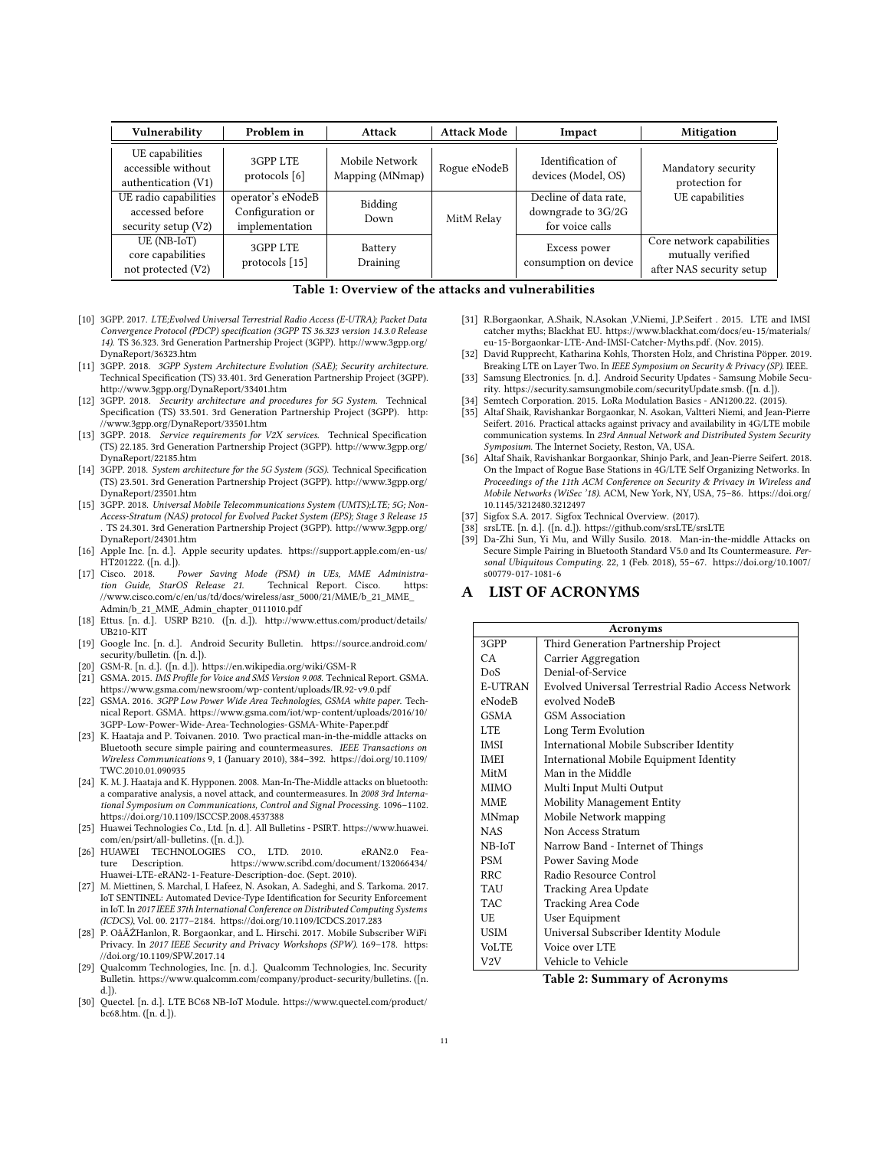<span id="page-10-20"></span>

| Vulnerability                                                   | Problem in                                              | Attack                            | <b>Attack Mode</b> | Impact                                                         | <b>Mitigation</b>                                                          |
|-----------------------------------------------------------------|---------------------------------------------------------|-----------------------------------|--------------------|----------------------------------------------------------------|----------------------------------------------------------------------------|
| UE capabilities<br>accessible without<br>authentication (V1)    | 3GPP LTE<br>protocols $[6]$                             | Mobile Network<br>Mapping (MNmap) | Rogue eNodeB       | Identification of<br>devices (Model, OS)                       | Mandatory security<br>protection for                                       |
| UE radio capabilities<br>accessed before<br>security setup (V2) | operator's eNodeB<br>Configuration or<br>implementation | Bidding<br>Down                   | MitM Relay         | Decline of data rate.<br>downgrade to 3G/2G<br>for voice calls | UE capabilities                                                            |
| $UE$ (NB-IoT)<br>core capabilities<br>not protected (V2)        | 3GPP LTE<br>protocols $[15]$                            | Battery<br>Draining               |                    | Excess power<br>consumption on device                          | Core network capabilities<br>mutually verified<br>after NAS security setup |

#### Table 1: Overview of the attacks and vulnerabilities

- <span id="page-10-17"></span>[10] 3GPP. 2017. LTE;Evolved Universal Terrestrial Radio Access (E-UTRA); Packet Data Convergence Protocol (PDCP) specification (3GPP TS 36.323 version 14.3.0 Release 14). TS 36.323. 3rd Generation Partnership Project (3GPP). [http://www.3gpp.org/](http://www.3gpp.org/DynaReport/36323.htm) [DynaReport/36323.htm](http://www.3gpp.org/DynaReport/36323.htm)
- <span id="page-10-5"></span>[11] 3GPP. 2018. 3GPP System Architecture Evolution (SAE); Security architecture. Technical Specification (TS) 33.401. 3rd Generation Partnership Project (3GPP). <http://www.3gpp.org/DynaReport/33401.htm>
- <span id="page-10-13"></span>[12] 3GPP. 2018. Security architecture and procedures for 5G System. Technical Specification (TS) 33.501. 3rd Generation Partnership Project (3GPP). [http:](http://www.3gpp.org/DynaReport/33501.htm) [//www.3gpp.org/DynaReport/33501.htm](http://www.3gpp.org/DynaReport/33501.htm)
- <span id="page-10-4"></span>[13] 3GPP. 2018. Service requirements for V2X services. Technical Specification (TS) 22.185. 3rd Generation Partnership Project (3GPP). [http://www.3gpp.org/](http://www.3gpp.org/DynaReport/22185.htm) [DynaReport/22185.htm](http://www.3gpp.org/DynaReport/22185.htm)
- <span id="page-10-14"></span>[14] 3GPP. 2018. System architecture for the 5G System (5GS). Technical Specification (TS) 23.501. 3rd Generation Partnership Project (3GPP). [http://www.3gpp.org/](http://www.3gpp.org/DynaReport/23501.htm) [DynaReport/23501.htm](http://www.3gpp.org/DynaReport/23501.htm)
- <span id="page-10-0"></span>[15] 3GPP. 2018. Universal Mobile Telecommunications System (UMTS);LTE; 5G; Non-Access-Stratum (NAS) protocol for Evolved Packet System (EPS); Stage 3 Release 15 . TS 24.301. 3rd Generation Partnership Project (3GPP). [http://www.3gpp.org/](http://www.3gpp.org/DynaReport/24301.htm) [DynaReport/24301.htm](http://www.3gpp.org/DynaReport/24301.htm)
- <span id="page-10-11"></span>[16] Apple Inc. [n. d.]. Apple security updates. [https://support.apple.com/en-us/](https://support.apple.com/en-us/HT201222)  $\hat{HT201222}$ . ([n. d.]).<br>[17] Cisco. 2018.
- <span id="page-10-18"></span>Power Saving Mode (PSM) in UEs, MME Administra-<br>rOS Release 21. Technical Report. Cisco. https: tion Guide, StarOS Release 21. [//www.cisco.com/c/en/us/td/docs/wireless/asr\\_5000/21/MME/b\\_21\\_MME\\_](https://www.cisco.com/c/en/us/td/docs/wireless/asr_5000/21/MME/b_21_MME_Admin/b_21_MME_Admin_chapter_0111010.pdf) [Admin/b\\_21\\_MME\\_Admin\\_chapter\\_0111010.pdf](https://www.cisco.com/c/en/us/td/docs/wireless/asr_5000/21/MME/b_21_MME_Admin/b_21_MME_Admin_chapter_0111010.pdf)
- <span id="page-10-1"></span>[18] Ettus. [n. d.]. USRP B210. ([n. d.]). [http://www.ettus.com/product/details/](http://www.ettus.com/product/details/UB210-KIT) [UB210-KIT](http://www.ettus.com/product/details/UB210-KIT)
- <span id="page-10-10"></span>[19] Google Inc. [n. d.]. Android Security Bulletin. [https://source.android.com/](https://source.android.com/security/bulletin) [security/bulletin.](https://source.android.com/security/bulletin) ([n. d.]).
- <span id="page-10-16"></span><span id="page-10-6"></span>[20] GSM-R. [n. d.]. ([n. d.]).<https://en.wikipedia.org/wiki/GSM-R> [21] GSMA. 2015. IMS Profile for Voice and SMS Version 9.008. Technical Report. GSMA.
- <span id="page-10-7"></span><https://www.gsma.com/newsroom/wp-content/uploads/IR.92-v9.0.pdf> [22] GSMA. 2016. 3GPP Low Power Wide Area Technologies, GSMA white paper. Technical Report. GSMA. [https://www.gsma.com/iot/wp-content/uploads/2016/10/](https://www.gsma.com/iot/wp-content/uploads/2016/10/3GPP-Low-Power-Wide-Area-Technologies-GSMA-White-Paper.pdf) [3GPP-Low-Power-Wide-Area-Technologies-GSMA-White-Paper.pdf](https://www.gsma.com/iot/wp-content/uploads/2016/10/3GPP-Low-Power-Wide-Area-Technologies-GSMA-White-Paper.pdf)
- <span id="page-10-22"></span>[23] K. Haataja and P. Toivanen. 2010. Two practical man-in-the-middle attacks on Bluetooth secure simple pairing and countermeasures. IEEE Transactions on Wireless Communications 9, 1 (January 2010), 384–392. [https://doi.org/10.1109/](https://doi.org/10.1109/TWC.2010.01.090935) [TWC.2010.01.090935](https://doi.org/10.1109/TWC.2010.01.090935)
- <span id="page-10-23"></span>[24] K. M. J. Haataja and K. Hypponen. 2008. Man-In-The-Middle attacks on bluetooth: a comparative analysis, a novel attack, and countermeasures. In 2008 3rd International Symposium on Communications, Control and Signal Processing. 1096–1102. <https://doi.org/10.1109/ISCCSP.2008.4537388>
- <span id="page-10-8"></span>[25] Huawei Technologies Co., Ltd. [n. d.]. All Bulletins - PSIRT. [https://www.huawei.](https://www.huawei.com/en/psirt/all-bulletins) [com/en/psirt/all-bulletins.](https://www.huawei.com/en/psirt/all-bulletins) ([n. d.]).
- <span id="page-10-15"></span>[26] HUAWEI TECHNOLOGIES CO., LTD. 2010. eRAN2.0 Feature Description. [https://www.scribd.com/document/132066434/](https://www.scribd.com/document/132066434/Huawei-LTE-eRAN2-1-Feature-Description-doc) [Huawei-LTE-eRAN2-1-Feature-Description-doc.](https://www.scribd.com/document/132066434/Huawei-LTE-eRAN2-1-Feature-Description-doc) (Sept. 2010).
- <span id="page-10-28"></span>[27] M. Miettinen, S. Marchal, I. Hafeez, N. Asokan, A. Sadeghi, and S. Tarkoma. 2017. IoT SENTINEL: Automated Device-Type Identification for Security Enforcement in IoT. In 2017 IEEE 37th International Conference on Distributed Computing Systems (ICDCS), Vol. 00. 2177–2184.<https://doi.org/10.1109/ICDCS.2017.283>
- <span id="page-10-29"></span>[28] P. OâĂŹHanlon, R. Borgaonkar, and L. Hirschi. 2017. Mobile Subscriber WiFi Privacy. In 2017 IEEE Security and Privacy Workshops (SPW). 169-178. [https:](https://doi.org/10.1109/SPW.2017.14) [//doi.org/10.1109/SPW.2017.14](https://doi.org/10.1109/SPW.2017.14)
- <span id="page-10-9"></span>[29] Qualcomm Technologies, Inc. [n. d.]. Qualcomm Technologies, Inc. Security Bulletin. [https://www.qualcomm.com/company/product-security/bulletins.](https://www.qualcomm.com/company/product-security/bulletins) ([n. d.]). [30] Quectel. [n. d.]. LTE BC68 NB-IoT Module. [https://www.quectel.com/product/](https://www.quectel.com/product/bc68.htm)
- <span id="page-10-19"></span>[bc68.htm.](https://www.quectel.com/product/bc68.htm) ([n. d.]).
- <span id="page-10-27"></span>[31] R.Borgaonkar, A.Shaik, N.Asokan ,V.Niemi, J.P.Seifert . 2015. LTE and IMSI catcher myths; Blackhat EU. [https://www.blackhat.com/docs/eu-15/materials/](https://www.blackhat.com/docs/eu-15/materials/eu-15-Borgaonkar-LTE-And-IMSI-Catcher-Myths.pdf) [eu-15-Borgaonkar-LTE-And-IMSI-Catcher-Myths.pdf.](https://www.blackhat.com/docs/eu-15/materials/eu-15-Borgaonkar-LTE-And-IMSI-Catcher-Myths.pdf) (Nov. 2015).
- <span id="page-10-3"></span>[32] David Rupprecht, Katharina Kohls, Thorsten Holz, and Christina Pöpper. 2019. Breaking LTE on Layer Two. In IEEE Symposium on Security & Privacy (SP). IEEE.
- <span id="page-10-12"></span>[33] Samsung Electronics. [n. d.]. Android Security Updates - Samsung Mobile Security. [https://security.samsungmobile.com/securityUpdate.smsb.](https://security.samsungmobile.com/securityUpdate.smsb) ([n. d.]).
- <span id="page-10-25"></span>[34] Semtech Corporation. 2015. LoRa Modulation Basics - AN1200.22. (2015).
- <span id="page-10-21"></span>[35] Altaf Shaik, Ravishankar Borgaonkar, N. Asokan, Valtteri Niemi, and Jean-Pierre Seifert. 2016. Practical attacks against privacy and availability in 4G/LTE mobile communication systems. In 23rd Annual Network and Distributed System Security Symposium. The Internet Society, Reston, VA, USA.
- <span id="page-10-30"></span>[36] Altaf Shaik, Ravishankar Borgaonkar, Shinjo Park, and Jean-Pierre Seifert. 2018. On the Impact of Rogue Base Stations in 4G/LTE Self Organizing Networks. In Proceedings of the 11th ACM Conference on Security & Privacy in Wireless and Mobile Networks (WiSec '18). ACM, New York, NY, USA, 75–86. [https://doi.org/](https://doi.org/10.1145/3212480.3212497) [10.1145/3212480.3212497](https://doi.org/10.1145/3212480.3212497)
- <span id="page-10-26"></span>[37] Sigfox S.A. 2017. Sigfox Technical Overview. (2017).
- <span id="page-10-2"></span>[38] srsLTE. [n. d.]. ([n. d.]).<https://github.com/srsLTE/srsLTE>
- <span id="page-10-24"></span>[39] Da-Zhi Sun, Yi Mu, and Willy Susilo. 2018. Man-in-the-middle Attacks on Secure Simple Pairing in Bluetooth Standard V5.0 and Its Countermeasure. Personal Ubiquitous Computing. 22, 1 (Feb. 2018), 55–67. [https://doi.org/10.1007/](https://doi.org/10.1007/s00779-017-1081-6) [s00779-017-1081-6](https://doi.org/10.1007/s00779-017-1081-6)

## LIST OF ACRONYMS

| Acronyms         |                                                    |  |  |  |
|------------------|----------------------------------------------------|--|--|--|
| 3GPP             | Third Generation Partnership Project               |  |  |  |
| CA               | Carrier Aggregation                                |  |  |  |
| DoS              | Denial-of-Service                                  |  |  |  |
| E-UTRAN          | Evolved Universal Terrestrial Radio Access Network |  |  |  |
| eNodeB           | evolved NodeB                                      |  |  |  |
| <b>GSMA</b>      | GSM Association                                    |  |  |  |
| LTE.             | Long Term Evolution                                |  |  |  |
| <b>IMSI</b>      | International Mobile Subscriber Identity           |  |  |  |
| <b>IMEI</b>      | International Mobile Equipment Identity            |  |  |  |
| MitM             | Man in the Middle                                  |  |  |  |
| <b>MIMO</b>      | Multi Input Multi Output                           |  |  |  |
| <b>MME</b>       | Mobility Management Entity                         |  |  |  |
| MNmap            | Mobile Network mapping                             |  |  |  |
| <b>NAS</b>       | Non Access Stratum                                 |  |  |  |
| $NB$ - $IoT$     | Narrow Band - Internet of Things                   |  |  |  |
| <b>PSM</b>       | Power Saving Mode                                  |  |  |  |
| <b>RRC</b>       | Radio Resource Control                             |  |  |  |
| TAU              | Tracking Area Update                               |  |  |  |
| <b>TAC</b>       | <b>Tracking Area Code</b>                          |  |  |  |
| UE               | User Equipment                                     |  |  |  |
| <b>USIM</b>      | Universal Subscriber Identity Module               |  |  |  |
| <b>VoLTE</b>     | Voice over LTE                                     |  |  |  |
| V <sub>2</sub> V | Vehicle to Vehicle<br>---                          |  |  |  |

Table 2: Summary of Acronyms